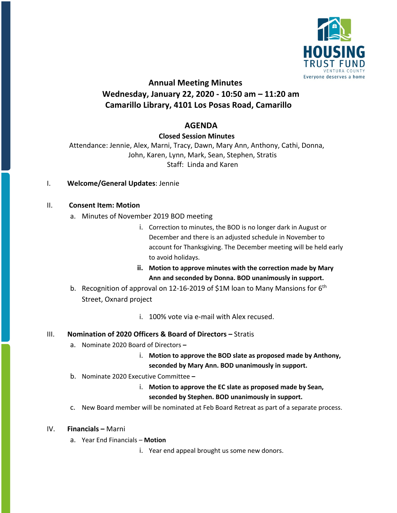

# **Annual Meeting Minutes Wednesday, January 22, 2020 - 10:50 am – 11:20 am Camarillo Library, 4101 Los Posas Road, Camarillo**

## **AGENDA**

**Closed Session Minutes**

Attendance: Jennie, Alex, Marni, Tracy, Dawn, Mary Ann, Anthony, Cathi, Donna, John, Karen, Lynn, Mark, Sean, Stephen, Stratis Staff: Linda and Karen

#### I. **Welcome/General Updates**: Jennie

#### II. **Consent Item: Motion**

- a. Minutes of November 2019 BOD meeting
	- i. Correction to minutes, the BOD is no longer dark in August or December and there is an adjusted schedule in November to account for Thanksgiving. The December meeting will be held early to avoid holidays.
	- **ii. Motion to approve minutes with the correction made by Mary Ann and seconded by Donna. BOD unanimously in support.**
- b. Recognition of approval on 12-16-2019 of \$1M loan to Many Mansions for 6<sup>th</sup> Street, Oxnard project
	- i. 100% vote via e-mail with Alex recused.

#### III. **Nomination of 2020 Officers & Board of Directors –** Stratis

- a. Nominate 2020 Board of Directors **–**
	- i. **Motion to approve the BOD slate as proposed made by Anthony, seconded by Mary Ann. BOD unanimously in support.**
- b. Nominate 2020 Executive Committee **–**
	- i. **Motion to approve the EC slate as proposed made by Sean, seconded by Stephen. BOD unanimously in support.**
- c. New Board member will be nominated at Feb Board Retreat as part of a separate process.

#### IV. **Financials –** Marni

- a. Year End Financials **Motion**
	- i. Year end appeal brought us some new donors.